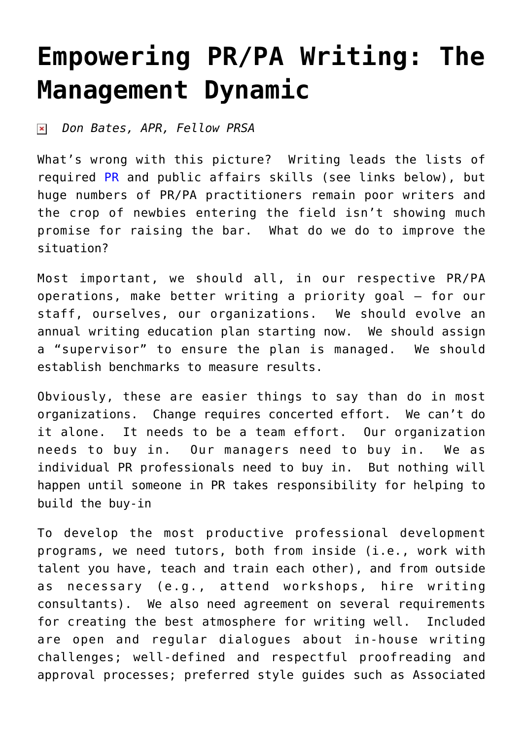## **[Empowering PR/PA Writing: The](https://www.commpro.biz/empowering-prpa-writing-the-management-dynamic/) [Management Dynamic](https://www.commpro.biz/empowering-prpa-writing-the-management-dynamic/)**

*Don Bates, APR, Fellow PRSA*  $\pmb{\times}$ 

What's wrong with this picture? Writing leads the lists of required [PR](https://www.commpro.biz/public-relations-section/) and public affairs skills (see links below), but huge numbers of PR/PA practitioners remain poor writers and the crop of newbies entering the field isn't showing much promise for raising the bar. What do we do to improve the situation?

Most important, we should all, in our respective PR/PA operations, make better writing a priority goal – for our staff, ourselves, our organizations. We should evolve an annual writing education plan starting now. We should assign a "supervisor" to ensure the plan is managed. We should establish benchmarks to measure results.

Obviously, these are easier things to say than do in most organizations. Change requires concerted effort. We can't do it alone. It needs to be a team effort. Our organization needs to buy in. Our managers need to buy in. We as individual PR professionals need to buy in. But nothing will happen until someone in PR takes responsibility for helping to build the buy-in

To develop the most productive professional development programs, we need tutors, both from inside (i.e., work with talent you have, teach and train each other), and from outside as necessary (e.g., attend workshops, hire writing consultants). We also need agreement on several requirements for creating the best atmosphere for writing well. Included are open and regular dialogues about in-house writing challenges; well-defined and respectful proofreading and approval processes; preferred style guides such as Associated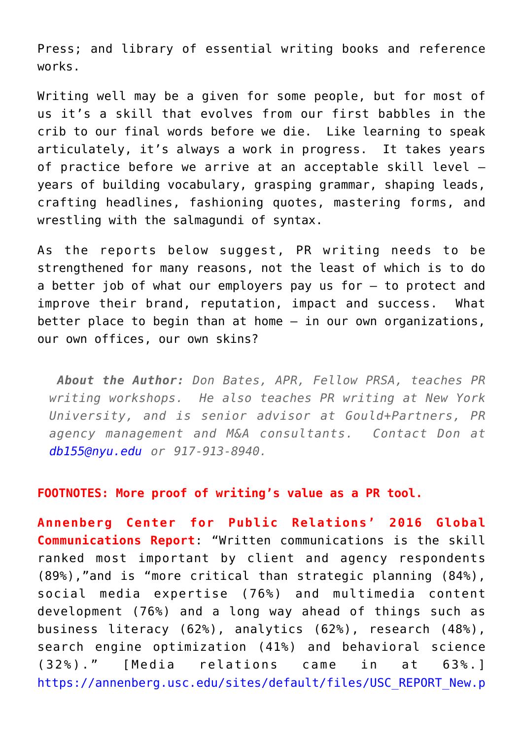Press; and library of essential writing books and reference works.

Writing well may be a given for some people, but for most of us it's a skill that evolves from our first babbles in the crib to our final words before we die. Like learning to speak articulately, it's always a work in progress. It takes years of practice before we arrive at an acceptable skill level – years of building vocabulary, grasping grammar, shaping leads, crafting headlines, fashioning quotes, mastering forms, and wrestling with the salmagundi of syntax.

As the reports below suggest, PR writing needs to be strengthened for many reasons, not the least of which is to do a better job of what our employers pay us for – to protect and improve their brand, reputation, impact and success. What better place to begin than at home – in our own organizations, our own offices, our own skins?

*About the Author: Don Bates, APR, Fellow PRSA, teaches PR writing workshops. He also teaches PR writing at New York University, and is senior advisor at Gould+Partners, PR agency management and M&A consultants. Contact Don at [db155@nyu.edu](mailto:db155@nyu.edu) or 917-913-8940.* 

## **FOOTNOTES: More proof of writing's value as a PR tool.**

**Annenberg Center for Public Relations' 2016 Global Communications Report**: "Written communications is the skill ranked most important by client and agency respondents (89%),"and is "more critical than strategic planning (84%), social media expertise (76%) and multimedia content development (76%) and a long way ahead of things such as business literacy (62%), analytics (62%), research (48%), search engine optimization (41%) and behavioral science (32%)." [Media relations came in at 63%.] [https://annenberg.usc.edu/sites/default/files/USC\\_REPORT\\_New.p](https://annenberg.usc.edu/sites/default/files/USC_REPORT_New.pdf)